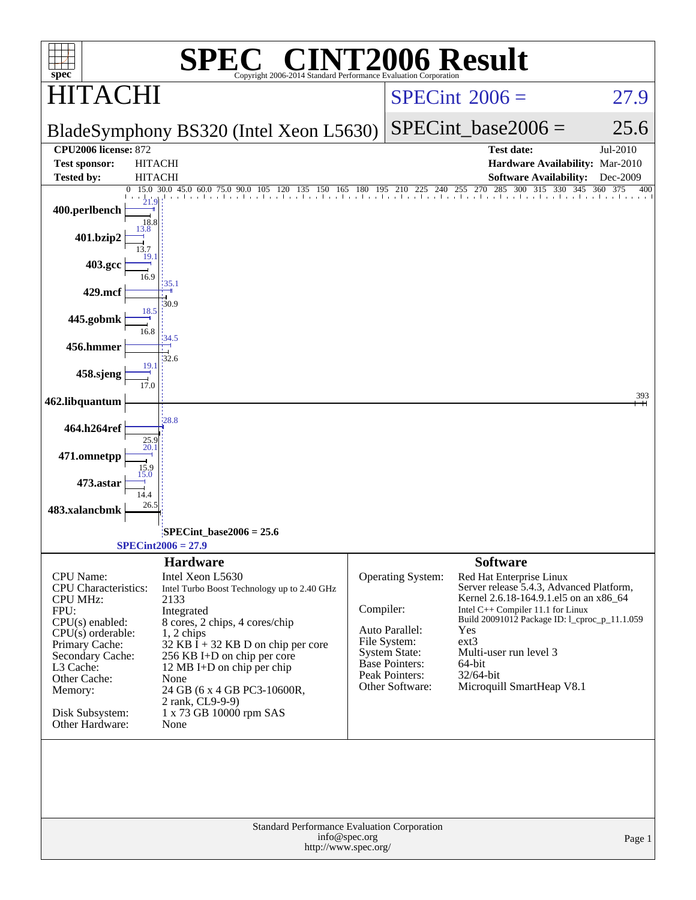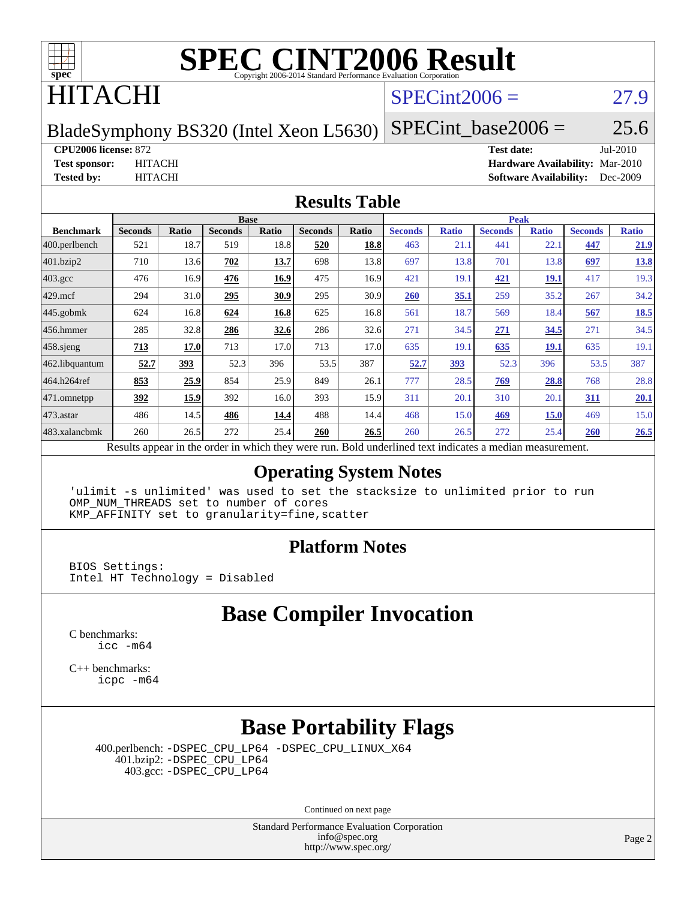

### HITACHI

#### $SPECint2006 = 27.9$  $SPECint2006 = 27.9$

BladeSymphony BS320 (Intel Xeon L5630)

 $SPECTnt\_base2006 = 25.6$ 

#### **[CPU2006 license:](http://www.spec.org/auto/cpu2006/Docs/result-fields.html#CPU2006license)** 872 **[Test date:](http://www.spec.org/auto/cpu2006/Docs/result-fields.html#Testdate)** Jul-2010

**[Test sponsor:](http://www.spec.org/auto/cpu2006/Docs/result-fields.html#Testsponsor)** HITACHI **[Hardware Availability:](http://www.spec.org/auto/cpu2006/Docs/result-fields.html#HardwareAvailability)** Mar-2010 **[Tested by:](http://www.spec.org/auto/cpu2006/Docs/result-fields.html#Testedby)** HITACHI **[Software Availability:](http://www.spec.org/auto/cpu2006/Docs/result-fields.html#SoftwareAvailability)** Dec-2009

#### **[Results Table](http://www.spec.org/auto/cpu2006/Docs/result-fields.html#ResultsTable)**

|                    | <b>Base</b>    |                                                                                                          |                |       |                |       | <b>Peak</b>    |              |                |              |                |              |  |  |
|--------------------|----------------|----------------------------------------------------------------------------------------------------------|----------------|-------|----------------|-------|----------------|--------------|----------------|--------------|----------------|--------------|--|--|
| <b>Benchmark</b>   | <b>Seconds</b> | Ratio                                                                                                    | <b>Seconds</b> | Ratio | <b>Seconds</b> | Ratio | <b>Seconds</b> | <b>Ratio</b> | <b>Seconds</b> | <b>Ratio</b> | <b>Seconds</b> | <b>Ratio</b> |  |  |
| $ 400$ .perlbench  | 521            | 18.7                                                                                                     | 519            | 18.8  | 520            | 18.8  | 463            | 21.1         | 441            | 22.1         | 447            | 21.9         |  |  |
| 401.bzip2          | 710            | 13.6                                                                                                     | 702            | 13.7  | 698            | 13.8  | 697            | 13.8         | 701            | 13.8         | 697            | <u>13.8</u>  |  |  |
| $403.\mathrm{gcc}$ | 476            | 16.9                                                                                                     | 476            | 16.9  | 475            | 16.9  | 421            | 19.1         | 421            | <u> 19.1</u> | 417            | 19.3         |  |  |
| $429$ .mcf         | 294            | 31.0                                                                                                     | 295            | 30.9  | 295            | 30.9  | <b>260</b>     | 35.1         | 259            | 35.2         | 267            | 34.2         |  |  |
| 445.gobmk          | 624            | 16.8                                                                                                     | 624            | 16.8  | 625            | 16.8  | 561            | 18.7         | 569            | 18.4         | 567            | 18.5         |  |  |
| $ 456$ .hmmer      | 285            | 32.8                                                                                                     | 286            | 32.6  | 286            | 32.6  | 271            | 34.5         | 271            | 34.5         | 271            | 34.5         |  |  |
| $458$ .sjeng       | 713            | 17.0                                                                                                     | 713            | 17.0  | 713            | 17.0  | 635            | 19.1         | 635            | 19.1         | 635            | 19.1         |  |  |
| 462.libquantum     | 52.7           | 393                                                                                                      | 52.3           | 396   | 53.5           | 387   | 52.7           | 393          | 52.3           | 396          | 53.5           | 387          |  |  |
| 464.h264ref        | 853            | 25.9                                                                                                     | 854            | 25.9  | 849            | 26.1  | 777            | 28.5         | 769            | 28.8         | 768            | 28.8         |  |  |
| $ 471$ .omnetpp    | 392            | 15.9                                                                                                     | 392            | 16.0  | 393            | 15.9  | 311            | 20.1         | 310            | 20.1         | 311            | 20.1         |  |  |
| $473.$ astar       | 486            | 14.5                                                                                                     | 486            | 14.4  | 488            | 14.4  | 468            | 15.0         | 469            | 15.0         | 469            | 15.0         |  |  |
| 483.xalancbmk      | 260            | 26.5                                                                                                     | 272            | 25.4  | 260            | 26.5  | 260            | 26.5         | 272            | 25.4         | <b>260</b>     | 26.5         |  |  |
|                    |                | Results appear in the order in which they were run. Bold underlined text indicates a median measurement. |                |       |                |       |                |              |                |              |                |              |  |  |

#### **[Operating System Notes](http://www.spec.org/auto/cpu2006/Docs/result-fields.html#OperatingSystemNotes)**

'ulimit -s unlimited' was used to set the stacksize to unlimited prior to run OMP\_NUM\_THREADS set to number of cores KMP\_AFFINITY set to granularity=fine,scatter

#### **[Platform Notes](http://www.spec.org/auto/cpu2006/Docs/result-fields.html#PlatformNotes)**

BIOS Settings: Intel HT Technology = Disabled

#### **[Base Compiler Invocation](http://www.spec.org/auto/cpu2006/Docs/result-fields.html#BaseCompilerInvocation)**

[C benchmarks](http://www.spec.org/auto/cpu2006/Docs/result-fields.html#Cbenchmarks): [icc -m64](http://www.spec.org/cpu2006/results/res2010q3/cpu2006-20100914-13314.flags.html#user_CCbase_intel_icc_64bit_bda6cc9af1fdbb0edc3795bac97ada53)

[C++ benchmarks:](http://www.spec.org/auto/cpu2006/Docs/result-fields.html#CXXbenchmarks) [icpc -m64](http://www.spec.org/cpu2006/results/res2010q3/cpu2006-20100914-13314.flags.html#user_CXXbase_intel_icpc_64bit_fc66a5337ce925472a5c54ad6a0de310)

### **[Base Portability Flags](http://www.spec.org/auto/cpu2006/Docs/result-fields.html#BasePortabilityFlags)**

 400.perlbench: [-DSPEC\\_CPU\\_LP64](http://www.spec.org/cpu2006/results/res2010q3/cpu2006-20100914-13314.flags.html#b400.perlbench_basePORTABILITY_DSPEC_CPU_LP64) [-DSPEC\\_CPU\\_LINUX\\_X64](http://www.spec.org/cpu2006/results/res2010q3/cpu2006-20100914-13314.flags.html#b400.perlbench_baseCPORTABILITY_DSPEC_CPU_LINUX_X64) 401.bzip2: [-DSPEC\\_CPU\\_LP64](http://www.spec.org/cpu2006/results/res2010q3/cpu2006-20100914-13314.flags.html#suite_basePORTABILITY401_bzip2_DSPEC_CPU_LP64) 403.gcc: [-DSPEC\\_CPU\\_LP64](http://www.spec.org/cpu2006/results/res2010q3/cpu2006-20100914-13314.flags.html#suite_basePORTABILITY403_gcc_DSPEC_CPU_LP64)

Continued on next page

Standard Performance Evaluation Corporation [info@spec.org](mailto:info@spec.org) <http://www.spec.org/>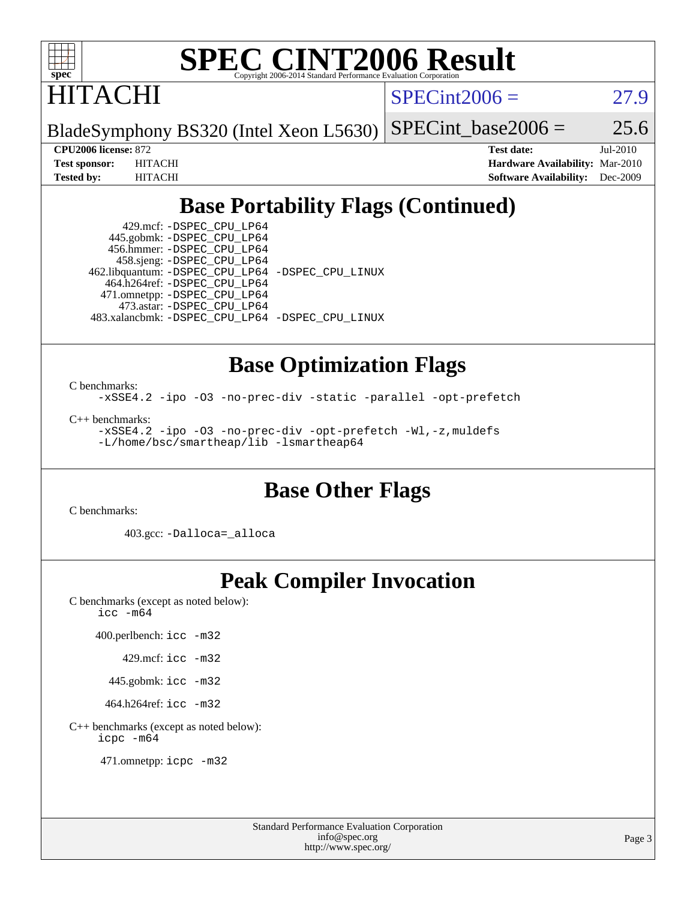

HITACHI

 $SPECint2006 = 27.9$  $SPECint2006 = 27.9$ 

BladeSymphony BS320 (Intel Xeon L5630) SPECint base2006 =  $25.6$ 

**[CPU2006 license:](http://www.spec.org/auto/cpu2006/Docs/result-fields.html#CPU2006license)** 872 **[Test date:](http://www.spec.org/auto/cpu2006/Docs/result-fields.html#Testdate)** Jul-2010 **[Test sponsor:](http://www.spec.org/auto/cpu2006/Docs/result-fields.html#Testsponsor)** HITACHI **[Hardware Availability:](http://www.spec.org/auto/cpu2006/Docs/result-fields.html#HardwareAvailability)** Mar-2010 **[Tested by:](http://www.spec.org/auto/cpu2006/Docs/result-fields.html#Testedby)** HITACHI **[Software Availability:](http://www.spec.org/auto/cpu2006/Docs/result-fields.html#SoftwareAvailability)** Dec-2009

### **[Base Portability Flags \(Continued\)](http://www.spec.org/auto/cpu2006/Docs/result-fields.html#BasePortabilityFlags)**

 429.mcf: [-DSPEC\\_CPU\\_LP64](http://www.spec.org/cpu2006/results/res2010q3/cpu2006-20100914-13314.flags.html#suite_basePORTABILITY429_mcf_DSPEC_CPU_LP64) 445.gobmk: [-DSPEC\\_CPU\\_LP64](http://www.spec.org/cpu2006/results/res2010q3/cpu2006-20100914-13314.flags.html#suite_basePORTABILITY445_gobmk_DSPEC_CPU_LP64) 456.hmmer: [-DSPEC\\_CPU\\_LP64](http://www.spec.org/cpu2006/results/res2010q3/cpu2006-20100914-13314.flags.html#suite_basePORTABILITY456_hmmer_DSPEC_CPU_LP64) 458.sjeng: [-DSPEC\\_CPU\\_LP64](http://www.spec.org/cpu2006/results/res2010q3/cpu2006-20100914-13314.flags.html#suite_basePORTABILITY458_sjeng_DSPEC_CPU_LP64) 462.libquantum: [-DSPEC\\_CPU\\_LP64](http://www.spec.org/cpu2006/results/res2010q3/cpu2006-20100914-13314.flags.html#suite_basePORTABILITY462_libquantum_DSPEC_CPU_LP64) [-DSPEC\\_CPU\\_LINUX](http://www.spec.org/cpu2006/results/res2010q3/cpu2006-20100914-13314.flags.html#b462.libquantum_baseCPORTABILITY_DSPEC_CPU_LINUX) 464.h264ref: [-DSPEC\\_CPU\\_LP64](http://www.spec.org/cpu2006/results/res2010q3/cpu2006-20100914-13314.flags.html#suite_basePORTABILITY464_h264ref_DSPEC_CPU_LP64) 471.omnetpp: [-DSPEC\\_CPU\\_LP64](http://www.spec.org/cpu2006/results/res2010q3/cpu2006-20100914-13314.flags.html#suite_basePORTABILITY471_omnetpp_DSPEC_CPU_LP64) 473.astar: [-DSPEC\\_CPU\\_LP64](http://www.spec.org/cpu2006/results/res2010q3/cpu2006-20100914-13314.flags.html#suite_basePORTABILITY473_astar_DSPEC_CPU_LP64) 483.xalancbmk: [-DSPEC\\_CPU\\_LP64](http://www.spec.org/cpu2006/results/res2010q3/cpu2006-20100914-13314.flags.html#suite_basePORTABILITY483_xalancbmk_DSPEC_CPU_LP64) [-DSPEC\\_CPU\\_LINUX](http://www.spec.org/cpu2006/results/res2010q3/cpu2006-20100914-13314.flags.html#b483.xalancbmk_baseCXXPORTABILITY_DSPEC_CPU_LINUX)

### **[Base Optimization Flags](http://www.spec.org/auto/cpu2006/Docs/result-fields.html#BaseOptimizationFlags)**

[C benchmarks](http://www.spec.org/auto/cpu2006/Docs/result-fields.html#Cbenchmarks):

[-xSSE4.2](http://www.spec.org/cpu2006/results/res2010q3/cpu2006-20100914-13314.flags.html#user_CCbase_f-xSSE42_f91528193cf0b216347adb8b939d4107) [-ipo](http://www.spec.org/cpu2006/results/res2010q3/cpu2006-20100914-13314.flags.html#user_CCbase_f-ipo) [-O3](http://www.spec.org/cpu2006/results/res2010q3/cpu2006-20100914-13314.flags.html#user_CCbase_f-O3) [-no-prec-div](http://www.spec.org/cpu2006/results/res2010q3/cpu2006-20100914-13314.flags.html#user_CCbase_f-no-prec-div) [-static](http://www.spec.org/cpu2006/results/res2010q3/cpu2006-20100914-13314.flags.html#user_CCbase_f-static) [-parallel](http://www.spec.org/cpu2006/results/res2010q3/cpu2006-20100914-13314.flags.html#user_CCbase_f-parallel) [-opt-prefetch](http://www.spec.org/cpu2006/results/res2010q3/cpu2006-20100914-13314.flags.html#user_CCbase_f-opt-prefetch)

[C++ benchmarks:](http://www.spec.org/auto/cpu2006/Docs/result-fields.html#CXXbenchmarks)

[-xSSE4.2](http://www.spec.org/cpu2006/results/res2010q3/cpu2006-20100914-13314.flags.html#user_CXXbase_f-xSSE42_f91528193cf0b216347adb8b939d4107) [-ipo](http://www.spec.org/cpu2006/results/res2010q3/cpu2006-20100914-13314.flags.html#user_CXXbase_f-ipo) [-O3](http://www.spec.org/cpu2006/results/res2010q3/cpu2006-20100914-13314.flags.html#user_CXXbase_f-O3) [-no-prec-div](http://www.spec.org/cpu2006/results/res2010q3/cpu2006-20100914-13314.flags.html#user_CXXbase_f-no-prec-div) [-opt-prefetch](http://www.spec.org/cpu2006/results/res2010q3/cpu2006-20100914-13314.flags.html#user_CXXbase_f-opt-prefetch) [-Wl,-z,muldefs](http://www.spec.org/cpu2006/results/res2010q3/cpu2006-20100914-13314.flags.html#user_CXXbase_link_force_multiple1_74079c344b956b9658436fd1b6dd3a8a) [-L/home/bsc/smartheap/lib -lsmartheap64](http://www.spec.org/cpu2006/results/res2010q3/cpu2006-20100914-13314.flags.html#user_CXXbase_SmartHeap64_555180d2893e2417989e4f28f72c507f)

#### **[Base Other Flags](http://www.spec.org/auto/cpu2006/Docs/result-fields.html#BaseOtherFlags)**

[C benchmarks](http://www.spec.org/auto/cpu2006/Docs/result-fields.html#Cbenchmarks):

403.gcc: [-Dalloca=\\_alloca](http://www.spec.org/cpu2006/results/res2010q3/cpu2006-20100914-13314.flags.html#b403.gcc_baseEXTRA_CFLAGS_Dalloca_be3056838c12de2578596ca5467af7f3)

#### **[Peak Compiler Invocation](http://www.spec.org/auto/cpu2006/Docs/result-fields.html#PeakCompilerInvocation)**

[C benchmarks \(except as noted below\)](http://www.spec.org/auto/cpu2006/Docs/result-fields.html#Cbenchmarksexceptasnotedbelow): [icc -m64](http://www.spec.org/cpu2006/results/res2010q3/cpu2006-20100914-13314.flags.html#user_CCpeak_intel_icc_64bit_bda6cc9af1fdbb0edc3795bac97ada53)

400.perlbench: [icc -m32](http://www.spec.org/cpu2006/results/res2010q3/cpu2006-20100914-13314.flags.html#user_peakCCLD400_perlbench_intel_icc_32bit_a6a621f8d50482236b970c6ac5f55f93)

429.mcf: [icc -m32](http://www.spec.org/cpu2006/results/res2010q3/cpu2006-20100914-13314.flags.html#user_peakCCLD429_mcf_intel_icc_32bit_a6a621f8d50482236b970c6ac5f55f93)

445.gobmk: [icc -m32](http://www.spec.org/cpu2006/results/res2010q3/cpu2006-20100914-13314.flags.html#user_peakCCLD445_gobmk_intel_icc_32bit_a6a621f8d50482236b970c6ac5f55f93)

464.h264ref: [icc -m32](http://www.spec.org/cpu2006/results/res2010q3/cpu2006-20100914-13314.flags.html#user_peakCCLD464_h264ref_intel_icc_32bit_a6a621f8d50482236b970c6ac5f55f93)

[C++ benchmarks \(except as noted below\):](http://www.spec.org/auto/cpu2006/Docs/result-fields.html#CXXbenchmarksexceptasnotedbelow) [icpc -m64](http://www.spec.org/cpu2006/results/res2010q3/cpu2006-20100914-13314.flags.html#user_CXXpeak_intel_icpc_64bit_fc66a5337ce925472a5c54ad6a0de310)

471.omnetpp: [icpc -m32](http://www.spec.org/cpu2006/results/res2010q3/cpu2006-20100914-13314.flags.html#user_peakCXXLD471_omnetpp_intel_icpc_32bit_4e5a5ef1a53fd332b3c49e69c3330699)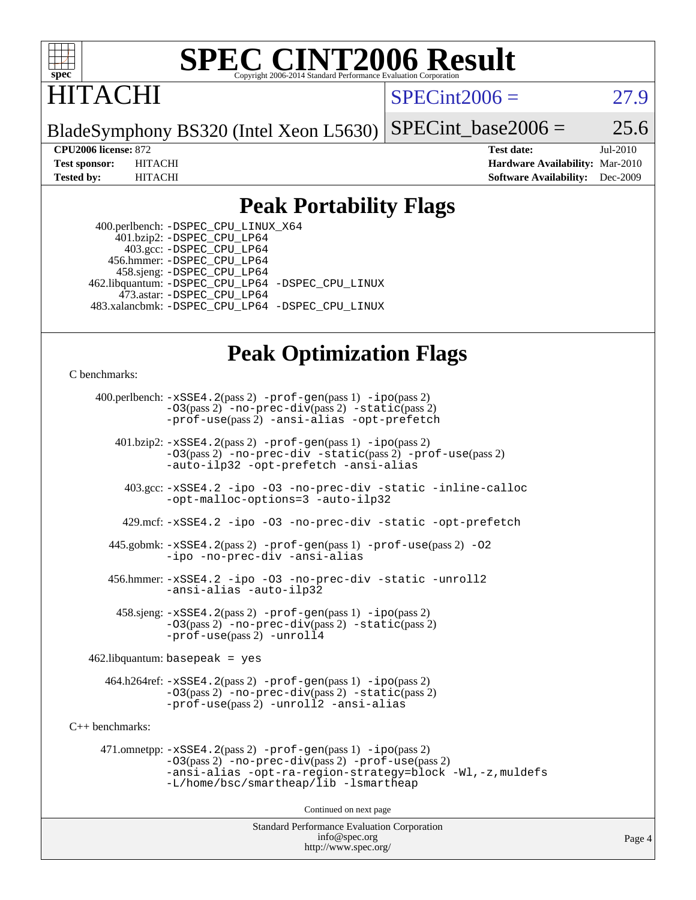

## **ITACHI**

 $SPECint2006 = 27.9$  $SPECint2006 = 27.9$ 

BladeSymphony BS320 (Intel Xeon L5630) SPECint base2006 =  $25.6$ 

**[CPU2006 license:](http://www.spec.org/auto/cpu2006/Docs/result-fields.html#CPU2006license)** 872 **[Test date:](http://www.spec.org/auto/cpu2006/Docs/result-fields.html#Testdate)** Jul-2010 **[Test sponsor:](http://www.spec.org/auto/cpu2006/Docs/result-fields.html#Testsponsor)** HITACHI **[Hardware Availability:](http://www.spec.org/auto/cpu2006/Docs/result-fields.html#HardwareAvailability)** Mar-2010 **[Tested by:](http://www.spec.org/auto/cpu2006/Docs/result-fields.html#Testedby)** HITACHI **[Software Availability:](http://www.spec.org/auto/cpu2006/Docs/result-fields.html#SoftwareAvailability)** Dec-2009

#### **[Peak Portability Flags](http://www.spec.org/auto/cpu2006/Docs/result-fields.html#PeakPortabilityFlags)**

 400.perlbench: [-DSPEC\\_CPU\\_LINUX\\_X64](http://www.spec.org/cpu2006/results/res2010q3/cpu2006-20100914-13314.flags.html#b400.perlbench_peakCPORTABILITY_DSPEC_CPU_LINUX_X64)  $401.bzip2: -DSPEC\_CPU\_LP64$  403.gcc: [-DSPEC\\_CPU\\_LP64](http://www.spec.org/cpu2006/results/res2010q3/cpu2006-20100914-13314.flags.html#suite_peakPORTABILITY403_gcc_DSPEC_CPU_LP64) 456.hmmer: [-DSPEC\\_CPU\\_LP64](http://www.spec.org/cpu2006/results/res2010q3/cpu2006-20100914-13314.flags.html#suite_peakPORTABILITY456_hmmer_DSPEC_CPU_LP64) 458.sjeng: [-DSPEC\\_CPU\\_LP64](http://www.spec.org/cpu2006/results/res2010q3/cpu2006-20100914-13314.flags.html#suite_peakPORTABILITY458_sjeng_DSPEC_CPU_LP64) 462.libquantum: [-DSPEC\\_CPU\\_LP64](http://www.spec.org/cpu2006/results/res2010q3/cpu2006-20100914-13314.flags.html#suite_peakPORTABILITY462_libquantum_DSPEC_CPU_LP64) [-DSPEC\\_CPU\\_LINUX](http://www.spec.org/cpu2006/results/res2010q3/cpu2006-20100914-13314.flags.html#b462.libquantum_peakCPORTABILITY_DSPEC_CPU_LINUX) 473.astar: [-DSPEC\\_CPU\\_LP64](http://www.spec.org/cpu2006/results/res2010q3/cpu2006-20100914-13314.flags.html#suite_peakPORTABILITY473_astar_DSPEC_CPU_LP64) 483.xalancbmk: [-DSPEC\\_CPU\\_LP64](http://www.spec.org/cpu2006/results/res2010q3/cpu2006-20100914-13314.flags.html#suite_peakPORTABILITY483_xalancbmk_DSPEC_CPU_LP64) [-DSPEC\\_CPU\\_LINUX](http://www.spec.org/cpu2006/results/res2010q3/cpu2006-20100914-13314.flags.html#b483.xalancbmk_peakCXXPORTABILITY_DSPEC_CPU_LINUX)

#### **[Peak Optimization Flags](http://www.spec.org/auto/cpu2006/Docs/result-fields.html#PeakOptimizationFlags)**

[C benchmarks](http://www.spec.org/auto/cpu2006/Docs/result-fields.html#Cbenchmarks):

 400.perlbench: [-xSSE4.2](http://www.spec.org/cpu2006/results/res2010q3/cpu2006-20100914-13314.flags.html#user_peakPASS2_CFLAGSPASS2_LDCFLAGS400_perlbench_f-xSSE42_f91528193cf0b216347adb8b939d4107)(pass 2) [-prof-gen](http://www.spec.org/cpu2006/results/res2010q3/cpu2006-20100914-13314.flags.html#user_peakPASS1_CFLAGSPASS1_LDCFLAGS400_perlbench_prof_gen_e43856698f6ca7b7e442dfd80e94a8fc)(pass 1) [-ipo](http://www.spec.org/cpu2006/results/res2010q3/cpu2006-20100914-13314.flags.html#user_peakPASS2_CFLAGSPASS2_LDCFLAGS400_perlbench_f-ipo)(pass 2) [-O3](http://www.spec.org/cpu2006/results/res2010q3/cpu2006-20100914-13314.flags.html#user_peakPASS2_CFLAGSPASS2_LDCFLAGS400_perlbench_f-O3)(pass 2) [-no-prec-div](http://www.spec.org/cpu2006/results/res2010q3/cpu2006-20100914-13314.flags.html#user_peakPASS2_CFLAGSPASS2_LDCFLAGS400_perlbench_f-no-prec-div)(pass 2) [-static](http://www.spec.org/cpu2006/results/res2010q3/cpu2006-20100914-13314.flags.html#user_peakPASS2_CFLAGSPASS2_LDCFLAGS400_perlbench_f-static)(pass 2) [-prof-use](http://www.spec.org/cpu2006/results/res2010q3/cpu2006-20100914-13314.flags.html#user_peakPASS2_CFLAGSPASS2_LDCFLAGS400_perlbench_prof_use_bccf7792157ff70d64e32fe3e1250b55)(pass 2) [-ansi-alias](http://www.spec.org/cpu2006/results/res2010q3/cpu2006-20100914-13314.flags.html#user_peakCOPTIMIZE400_perlbench_f-ansi-alias) [-opt-prefetch](http://www.spec.org/cpu2006/results/res2010q3/cpu2006-20100914-13314.flags.html#user_peakCOPTIMIZE400_perlbench_f-opt-prefetch)

 401.bzip2: [-xSSE4.2](http://www.spec.org/cpu2006/results/res2010q3/cpu2006-20100914-13314.flags.html#user_peakPASS2_CFLAGSPASS2_LDCFLAGS401_bzip2_f-xSSE42_f91528193cf0b216347adb8b939d4107)(pass 2) [-prof-gen](http://www.spec.org/cpu2006/results/res2010q3/cpu2006-20100914-13314.flags.html#user_peakPASS1_CFLAGSPASS1_LDCFLAGS401_bzip2_prof_gen_e43856698f6ca7b7e442dfd80e94a8fc)(pass 1) [-ipo](http://www.spec.org/cpu2006/results/res2010q3/cpu2006-20100914-13314.flags.html#user_peakPASS2_CFLAGSPASS2_LDCFLAGS401_bzip2_f-ipo)(pass 2) [-O3](http://www.spec.org/cpu2006/results/res2010q3/cpu2006-20100914-13314.flags.html#user_peakPASS2_CFLAGSPASS2_LDCFLAGS401_bzip2_f-O3)(pass 2) [-no-prec-div](http://www.spec.org/cpu2006/results/res2010q3/cpu2006-20100914-13314.flags.html#user_peakCOPTIMIZEPASS2_CFLAGSPASS2_LDCFLAGS401_bzip2_f-no-prec-div) [-static](http://www.spec.org/cpu2006/results/res2010q3/cpu2006-20100914-13314.flags.html#user_peakPASS2_CFLAGSPASS2_LDCFLAGS401_bzip2_f-static)(pass 2) [-prof-use](http://www.spec.org/cpu2006/results/res2010q3/cpu2006-20100914-13314.flags.html#user_peakPASS2_CFLAGSPASS2_LDCFLAGS401_bzip2_prof_use_bccf7792157ff70d64e32fe3e1250b55)(pass 2) [-auto-ilp32](http://www.spec.org/cpu2006/results/res2010q3/cpu2006-20100914-13314.flags.html#user_peakCOPTIMIZE401_bzip2_f-auto-ilp32) [-opt-prefetch](http://www.spec.org/cpu2006/results/res2010q3/cpu2006-20100914-13314.flags.html#user_peakCOPTIMIZE401_bzip2_f-opt-prefetch) [-ansi-alias](http://www.spec.org/cpu2006/results/res2010q3/cpu2006-20100914-13314.flags.html#user_peakCOPTIMIZE401_bzip2_f-ansi-alias)

 403.gcc: [-xSSE4.2](http://www.spec.org/cpu2006/results/res2010q3/cpu2006-20100914-13314.flags.html#user_peakCOPTIMIZE403_gcc_f-xSSE42_f91528193cf0b216347adb8b939d4107) [-ipo](http://www.spec.org/cpu2006/results/res2010q3/cpu2006-20100914-13314.flags.html#user_peakCOPTIMIZE403_gcc_f-ipo) [-O3](http://www.spec.org/cpu2006/results/res2010q3/cpu2006-20100914-13314.flags.html#user_peakCOPTIMIZE403_gcc_f-O3) [-no-prec-div](http://www.spec.org/cpu2006/results/res2010q3/cpu2006-20100914-13314.flags.html#user_peakCOPTIMIZE403_gcc_f-no-prec-div) [-static](http://www.spec.org/cpu2006/results/res2010q3/cpu2006-20100914-13314.flags.html#user_peakCOPTIMIZE403_gcc_f-static) [-inline-calloc](http://www.spec.org/cpu2006/results/res2010q3/cpu2006-20100914-13314.flags.html#user_peakCOPTIMIZE403_gcc_f-inline-calloc) [-opt-malloc-options=3](http://www.spec.org/cpu2006/results/res2010q3/cpu2006-20100914-13314.flags.html#user_peakCOPTIMIZE403_gcc_f-opt-malloc-options_13ab9b803cf986b4ee62f0a5998c2238) [-auto-ilp32](http://www.spec.org/cpu2006/results/res2010q3/cpu2006-20100914-13314.flags.html#user_peakCOPTIMIZE403_gcc_f-auto-ilp32)

429.mcf: [-xSSE4.2](http://www.spec.org/cpu2006/results/res2010q3/cpu2006-20100914-13314.flags.html#user_peakCOPTIMIZE429_mcf_f-xSSE42_f91528193cf0b216347adb8b939d4107) [-ipo](http://www.spec.org/cpu2006/results/res2010q3/cpu2006-20100914-13314.flags.html#user_peakCOPTIMIZE429_mcf_f-ipo) [-O3](http://www.spec.org/cpu2006/results/res2010q3/cpu2006-20100914-13314.flags.html#user_peakCOPTIMIZE429_mcf_f-O3) [-no-prec-div](http://www.spec.org/cpu2006/results/res2010q3/cpu2006-20100914-13314.flags.html#user_peakCOPTIMIZE429_mcf_f-no-prec-div) [-static](http://www.spec.org/cpu2006/results/res2010q3/cpu2006-20100914-13314.flags.html#user_peakCOPTIMIZE429_mcf_f-static) [-opt-prefetch](http://www.spec.org/cpu2006/results/res2010q3/cpu2006-20100914-13314.flags.html#user_peakCOPTIMIZE429_mcf_f-opt-prefetch)

 445.gobmk: [-xSSE4.2](http://www.spec.org/cpu2006/results/res2010q3/cpu2006-20100914-13314.flags.html#user_peakPASS2_CFLAGSPASS2_LDCFLAGS445_gobmk_f-xSSE42_f91528193cf0b216347adb8b939d4107)(pass 2) [-prof-gen](http://www.spec.org/cpu2006/results/res2010q3/cpu2006-20100914-13314.flags.html#user_peakPASS1_CFLAGSPASS1_LDCFLAGS445_gobmk_prof_gen_e43856698f6ca7b7e442dfd80e94a8fc)(pass 1) [-prof-use](http://www.spec.org/cpu2006/results/res2010q3/cpu2006-20100914-13314.flags.html#user_peakPASS2_CFLAGSPASS2_LDCFLAGS445_gobmk_prof_use_bccf7792157ff70d64e32fe3e1250b55)(pass 2) [-O2](http://www.spec.org/cpu2006/results/res2010q3/cpu2006-20100914-13314.flags.html#user_peakCOPTIMIZE445_gobmk_f-O2) [-ipo](http://www.spec.org/cpu2006/results/res2010q3/cpu2006-20100914-13314.flags.html#user_peakCOPTIMIZE445_gobmk_f-ipo) [-no-prec-div](http://www.spec.org/cpu2006/results/res2010q3/cpu2006-20100914-13314.flags.html#user_peakCOPTIMIZE445_gobmk_f-no-prec-div) [-ansi-alias](http://www.spec.org/cpu2006/results/res2010q3/cpu2006-20100914-13314.flags.html#user_peakCOPTIMIZE445_gobmk_f-ansi-alias)

 456.hmmer: [-xSSE4.2](http://www.spec.org/cpu2006/results/res2010q3/cpu2006-20100914-13314.flags.html#user_peakCOPTIMIZE456_hmmer_f-xSSE42_f91528193cf0b216347adb8b939d4107) [-ipo](http://www.spec.org/cpu2006/results/res2010q3/cpu2006-20100914-13314.flags.html#user_peakCOPTIMIZE456_hmmer_f-ipo) [-O3](http://www.spec.org/cpu2006/results/res2010q3/cpu2006-20100914-13314.flags.html#user_peakCOPTIMIZE456_hmmer_f-O3) [-no-prec-div](http://www.spec.org/cpu2006/results/res2010q3/cpu2006-20100914-13314.flags.html#user_peakCOPTIMIZE456_hmmer_f-no-prec-div) [-static](http://www.spec.org/cpu2006/results/res2010q3/cpu2006-20100914-13314.flags.html#user_peakCOPTIMIZE456_hmmer_f-static) [-unroll2](http://www.spec.org/cpu2006/results/res2010q3/cpu2006-20100914-13314.flags.html#user_peakCOPTIMIZE456_hmmer_f-unroll_784dae83bebfb236979b41d2422d7ec2) [-ansi-alias](http://www.spec.org/cpu2006/results/res2010q3/cpu2006-20100914-13314.flags.html#user_peakCOPTIMIZE456_hmmer_f-ansi-alias) [-auto-ilp32](http://www.spec.org/cpu2006/results/res2010q3/cpu2006-20100914-13314.flags.html#user_peakCOPTIMIZE456_hmmer_f-auto-ilp32)

 458.sjeng: [-xSSE4.2](http://www.spec.org/cpu2006/results/res2010q3/cpu2006-20100914-13314.flags.html#user_peakPASS2_CFLAGSPASS2_LDCFLAGS458_sjeng_f-xSSE42_f91528193cf0b216347adb8b939d4107)(pass 2) [-prof-gen](http://www.spec.org/cpu2006/results/res2010q3/cpu2006-20100914-13314.flags.html#user_peakPASS1_CFLAGSPASS1_LDCFLAGS458_sjeng_prof_gen_e43856698f6ca7b7e442dfd80e94a8fc)(pass 1) [-ipo](http://www.spec.org/cpu2006/results/res2010q3/cpu2006-20100914-13314.flags.html#user_peakPASS2_CFLAGSPASS2_LDCFLAGS458_sjeng_f-ipo)(pass 2) [-O3](http://www.spec.org/cpu2006/results/res2010q3/cpu2006-20100914-13314.flags.html#user_peakPASS2_CFLAGSPASS2_LDCFLAGS458_sjeng_f-O3)(pass 2) [-no-prec-div](http://www.spec.org/cpu2006/results/res2010q3/cpu2006-20100914-13314.flags.html#user_peakPASS2_CFLAGSPASS2_LDCFLAGS458_sjeng_f-no-prec-div)(pass 2) [-static](http://www.spec.org/cpu2006/results/res2010q3/cpu2006-20100914-13314.flags.html#user_peakPASS2_CFLAGSPASS2_LDCFLAGS458_sjeng_f-static)(pass 2) [-prof-use](http://www.spec.org/cpu2006/results/res2010q3/cpu2006-20100914-13314.flags.html#user_peakPASS2_CFLAGSPASS2_LDCFLAGS458_sjeng_prof_use_bccf7792157ff70d64e32fe3e1250b55)(pass 2) [-unroll4](http://www.spec.org/cpu2006/results/res2010q3/cpu2006-20100914-13314.flags.html#user_peakCOPTIMIZE458_sjeng_f-unroll_4e5e4ed65b7fd20bdcd365bec371b81f)

462.libquantum: basepeak = yes

 464.h264ref: [-xSSE4.2](http://www.spec.org/cpu2006/results/res2010q3/cpu2006-20100914-13314.flags.html#user_peakPASS2_CFLAGSPASS2_LDCFLAGS464_h264ref_f-xSSE42_f91528193cf0b216347adb8b939d4107)(pass 2) [-prof-gen](http://www.spec.org/cpu2006/results/res2010q3/cpu2006-20100914-13314.flags.html#user_peakPASS1_CFLAGSPASS1_LDCFLAGS464_h264ref_prof_gen_e43856698f6ca7b7e442dfd80e94a8fc)(pass 1) [-ipo](http://www.spec.org/cpu2006/results/res2010q3/cpu2006-20100914-13314.flags.html#user_peakPASS2_CFLAGSPASS2_LDCFLAGS464_h264ref_f-ipo)(pass 2) [-O3](http://www.spec.org/cpu2006/results/res2010q3/cpu2006-20100914-13314.flags.html#user_peakPASS2_CFLAGSPASS2_LDCFLAGS464_h264ref_f-O3)(pass 2) [-no-prec-div](http://www.spec.org/cpu2006/results/res2010q3/cpu2006-20100914-13314.flags.html#user_peakPASS2_CFLAGSPASS2_LDCFLAGS464_h264ref_f-no-prec-div)(pass 2) [-static](http://www.spec.org/cpu2006/results/res2010q3/cpu2006-20100914-13314.flags.html#user_peakPASS2_CFLAGSPASS2_LDCFLAGS464_h264ref_f-static)(pass 2) [-prof-use](http://www.spec.org/cpu2006/results/res2010q3/cpu2006-20100914-13314.flags.html#user_peakPASS2_CFLAGSPASS2_LDCFLAGS464_h264ref_prof_use_bccf7792157ff70d64e32fe3e1250b55)(pass 2) [-unroll2](http://www.spec.org/cpu2006/results/res2010q3/cpu2006-20100914-13314.flags.html#user_peakCOPTIMIZE464_h264ref_f-unroll_784dae83bebfb236979b41d2422d7ec2) [-ansi-alias](http://www.spec.org/cpu2006/results/res2010q3/cpu2006-20100914-13314.flags.html#user_peakCOPTIMIZE464_h264ref_f-ansi-alias)

[C++ benchmarks:](http://www.spec.org/auto/cpu2006/Docs/result-fields.html#CXXbenchmarks)

 471.omnetpp: [-xSSE4.2](http://www.spec.org/cpu2006/results/res2010q3/cpu2006-20100914-13314.flags.html#user_peakPASS2_CXXFLAGSPASS2_LDCXXFLAGS471_omnetpp_f-xSSE42_f91528193cf0b216347adb8b939d4107)(pass 2) [-prof-gen](http://www.spec.org/cpu2006/results/res2010q3/cpu2006-20100914-13314.flags.html#user_peakPASS1_CXXFLAGSPASS1_LDCXXFLAGS471_omnetpp_prof_gen_e43856698f6ca7b7e442dfd80e94a8fc)(pass 1) [-ipo](http://www.spec.org/cpu2006/results/res2010q3/cpu2006-20100914-13314.flags.html#user_peakPASS2_CXXFLAGSPASS2_LDCXXFLAGS471_omnetpp_f-ipo)(pass 2) [-O3](http://www.spec.org/cpu2006/results/res2010q3/cpu2006-20100914-13314.flags.html#user_peakPASS2_CXXFLAGSPASS2_LDCXXFLAGS471_omnetpp_f-O3)(pass 2) [-no-prec-div](http://www.spec.org/cpu2006/results/res2010q3/cpu2006-20100914-13314.flags.html#user_peakPASS2_CXXFLAGSPASS2_LDCXXFLAGS471_omnetpp_f-no-prec-div)(pass 2) [-prof-use](http://www.spec.org/cpu2006/results/res2010q3/cpu2006-20100914-13314.flags.html#user_peakPASS2_CXXFLAGSPASS2_LDCXXFLAGS471_omnetpp_prof_use_bccf7792157ff70d64e32fe3e1250b55)(pass 2) [-ansi-alias](http://www.spec.org/cpu2006/results/res2010q3/cpu2006-20100914-13314.flags.html#user_peakCXXOPTIMIZE471_omnetpp_f-ansi-alias) [-opt-ra-region-strategy=block](http://www.spec.org/cpu2006/results/res2010q3/cpu2006-20100914-13314.flags.html#user_peakCXXOPTIMIZE471_omnetpp_f-opt-ra-region-strategy-block_a0a37c372d03933b2a18d4af463c1f69) [-Wl,-z,muldefs](http://www.spec.org/cpu2006/results/res2010q3/cpu2006-20100914-13314.flags.html#user_peakEXTRA_LDFLAGS471_omnetpp_link_force_multiple1_74079c344b956b9658436fd1b6dd3a8a) [-L/home/bsc/smartheap/lib -lsmartheap](http://www.spec.org/cpu2006/results/res2010q3/cpu2006-20100914-13314.flags.html#user_peakEXTRA_LIBS471_omnetpp_SmartHeap_9f0954739f7704b2e81d8beae675b87f)

Continued on next page

Standard Performance Evaluation Corporation [info@spec.org](mailto:info@spec.org) <http://www.spec.org/>